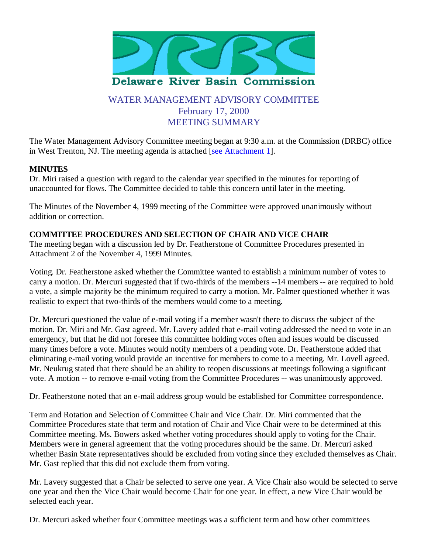

# WATER MANAGEMENT ADVISORY COMMITTEE February 17, 2000 MEETING SUMMARY

The Water Management Advisory Committee meeting began at 9:30 a.m. at the Commission (DRBC) office in West Trenton, NJ. The meeting agenda is attached [see Attachment 1].

# **MINUTES**

Dr. Miri raised a question with regard to the calendar year specified in the minutes for reporting of unaccounted for flows. The Committee decided to table this concern until later in the meeting.

The Minutes of the November 4, 1999 meeting of the Committee were approved unanimously without addition or correction.

# **COMMITTEE PROCEDURES AND SELECTION OF CHAIR AND VICE CHAIR**

The meeting began with a discussion led by Dr. Featherstone of Committee Procedures presented in Attachment 2 of the November 4, 1999 Minutes.

Voting. Dr. Featherstone asked whether the Committee wanted to establish a minimum number of votes to carry a motion. Dr. Mercuri suggested that if two-thirds of the members --14 members -- are required to hold a vote, a simple majority be the minimum required to carry a motion. Mr. Palmer questioned whether it was realistic to expect that two-thirds of the members would come to a meeting.

Dr. Mercuri questioned the value of e-mail voting if a member wasn't there to discuss the subject of the motion. Dr. Miri and Mr. Gast agreed. Mr. Lavery added that e-mail voting addressed the need to vote in an emergency, but that he did not foresee this committee holding votes often and issues would be discussed many times before a vote. Minutes would notify members of a pending vote. Dr. Featherstone added that eliminating e-mail voting would provide an incentive for members to come to a meeting. Mr. Lovell agreed. Mr. Neukrug stated that there should be an ability to reopen discussions at meetings following a significant vote. A motion -- to remove e-mail voting from the Committee Procedures -- was unanimously approved.

Dr. Featherstone noted that an e-mail address group would be established for Committee correspondence.

Term and Rotation and Selection of Committee Chair and Vice Chair. Dr. Miri commented that the Committee Procedures state that term and rotation of Chair and Vice Chair were to be determined at this Committee meeting. Ms. Bowers asked whether voting procedures should apply to voting for the Chair. Members were in general agreement that the voting procedures should be the same. Dr. Mercuri asked whether Basin State representatives should be excluded from voting since they excluded themselves as Chair. Mr. Gast replied that this did not exclude them from voting.

Mr. Lavery suggested that a Chair be selected to serve one year. A Vice Chair also would be selected to serve one year and then the Vice Chair would become Chair for one year. In effect, a new Vice Chair would be selected each year.

Dr. Mercuri asked whether four Committee meetings was a sufficient term and how other committees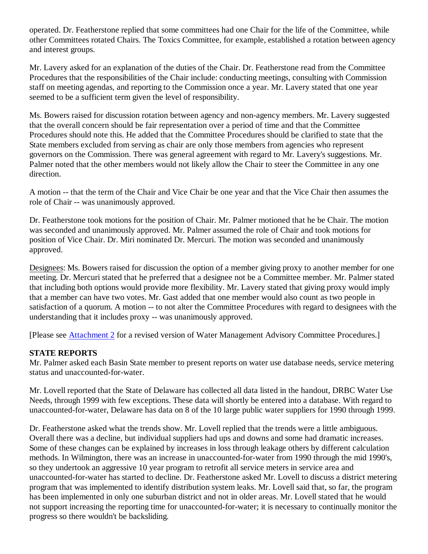operated. Dr. Featherstone replied that some committees had one Chair for the life of the Committee, while other Committees rotated Chairs. The Toxics Committee, for example, established a rotation between agency and interest groups.

Mr. Lavery asked for an explanation of the duties of the Chair. Dr. Featherstone read from the Committee Procedures that the responsibilities of the Chair include: conducting meetings, consulting with Commission staff on meeting agendas, and reporting to the Commission once a year. Mr. Lavery stated that one year seemed to be a sufficient term given the level of responsibility.

Ms. Bowers raised for discussion rotation between agency and non-agency members. Mr. Lavery suggested that the overall concern should be fair representation over a period of time and that the Committee Procedures should note this. He added that the Committee Procedures should be clarified to state that the State members excluded from serving as chair are only those members from agencies who represent governors on the Commission. There was general agreement with regard to Mr. Lavery's suggestions. Mr. Palmer noted that the other members would not likely allow the Chair to steer the Committee in any one direction.

A motion -- that the term of the Chair and Vice Chair be one year and that the Vice Chair then assumes the role of Chair -- was unanimously approved.

Dr. Featherstone took motions for the position of Chair. Mr. Palmer motioned that he be Chair. The motion was seconded and unanimously approved. Mr. Palmer assumed the role of Chair and took motions for position of Vice Chair. Dr. Miri nominated Dr. Mercuri. The motion was seconded and unanimously approved.

Designees: Ms. Bowers raised for discussion the option of a member giving proxy to another member for one meeting. Dr. Mercuri stated that he preferred that a designee not be a Committee member. Mr. Palmer stated that including both options would provide more flexibility. Mr. Lavery stated that giving proxy would imply that a member can have two votes. Mr. Gast added that one member would also count as two people in satisfaction of a quorum. A motion -- to not alter the Committee Procedures with regard to designees with the understanding that it includes proxy -- was unanimously approved.

[Please see Attachment 2 for a revised version of Water Management Advisory Committee Procedures.]

### **STATE REPORTS**

Mr. Palmer asked each Basin State member to present reports on water use database needs, service metering status and unaccounted-for-water.

Mr. Lovell reported that the State of Delaware has collected all data listed in the handout, DRBC Water Use Needs, through 1999 with few exceptions. These data will shortly be entered into a database. With regard to unaccounted-for-water, Delaware has data on 8 of the 10 large public water suppliers for 1990 through 1999.

Dr. Featherstone asked what the trends show. Mr. Lovell replied that the trends were a little ambiguous. Overall there was a decline, but individual suppliers had ups and downs and some had dramatic increases. Some of these changes can be explained by increases in loss through leakage others by different calculation methods. In Wilmington, there was an increase in unaccounted-for-water from 1990 through the mid 1990's, so they undertook an aggressive 10 year program to retrofit all service meters in service area and unaccounted-for-water has started to decline. Dr. Featherstone asked Mr. Lovell to discuss a district metering program that was implemented to identify distribution system leaks. Mr. Lovell said that, so far, the program has been implemented in only one suburban district and not in older areas. Mr. Lovell stated that he would not support increasing the reporting time for unaccounted-for-water; it is necessary to continually monitor the progress so there wouldn't be backsliding.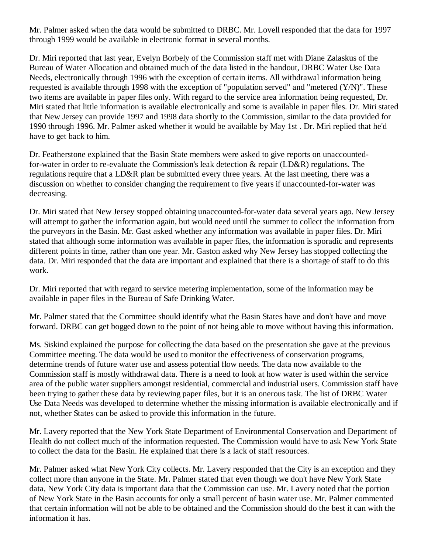Mr. Palmer asked when the data would be submitted to DRBC. Mr. Lovell responded that the data for 1997 through 1999 would be available in electronic format in several months.

Dr. Miri reported that last year, Evelyn Borbely of the Commission staff met with Diane Zalaskus of the Bureau of Water Allocation and obtained much of the data listed in the handout, DRBC Water Use Data Needs, electronically through 1996 with the exception of certain items. All withdrawal information being requested is available through 1998 with the exception of "population served" and "metered (Y/N)". These two items are available in paper files only. With regard to the service area information being requested, Dr. Miri stated that little information is available electronically and some is available in paper files. Dr. Miri stated that New Jersey can provide 1997 and 1998 data shortly to the Commission, similar to the data provided for 1990 through 1996. Mr. Palmer asked whether it would be available by May 1st . Dr. Miri replied that he'd have to get back to him.

Dr. Featherstone explained that the Basin State members were asked to give reports on unaccountedfor-water in order to re-evaluate the Commission's leak detection & repair (LD&R) regulations. The regulations require that a LD&R plan be submitted every three years. At the last meeting, there was a discussion on whether to consider changing the requirement to five years if unaccounted-for-water was decreasing.

Dr. Miri stated that New Jersey stopped obtaining unaccounted-for-water data several years ago. New Jersey will attempt to gather the information again, but would need until the summer to collect the information from the purveyors in the Basin. Mr. Gast asked whether any information was available in paper files. Dr. Miri stated that although some information was available in paper files, the information is sporadic and represents different points in time, rather than one year. Mr. Gaston asked why New Jersey has stopped collecting the data. Dr. Miri responded that the data are important and explained that there is a shortage of staff to do this work.

Dr. Miri reported that with regard to service metering implementation, some of the information may be available in paper files in the Bureau of Safe Drinking Water.

Mr. Palmer stated that the Committee should identify what the Basin States have and don't have and move forward. DRBC can get bogged down to the point of not being able to move without having this information.

Ms. Siskind explained the purpose for collecting the data based on the presentation she gave at the previous Committee meeting. The data would be used to monitor the effectiveness of conservation programs, determine trends of future water use and assess potential flow needs. The data now available to the Commission staff is mostly withdrawal data. There is a need to look at how water is used within the service area of the public water suppliers amongst residential, commercial and industrial users. Commission staff have been trying to gather these data by reviewing paper files, but it is an onerous task. The list of DRBC Water Use Data Needs was developed to determine whether the missing information is available electronically and if not, whether States can be asked to provide this information in the future.

Mr. Lavery reported that the New York State Department of Environmental Conservation and Department of Health do not collect much of the information requested. The Commission would have to ask New York State to collect the data for the Basin. He explained that there is a lack of staff resources.

Mr. Palmer asked what New York City collects. Mr. Lavery responded that the City is an exception and they collect more than anyone in the State. Mr. Palmer stated that even though we don't have New York State data, New York City data is important data that the Commission can use. Mr. Lavery noted that the portion of New York State in the Basin accounts for only a small percent of basin water use. Mr. Palmer commented that certain information will not be able to be obtained and the Commission should do the best it can with the information it has.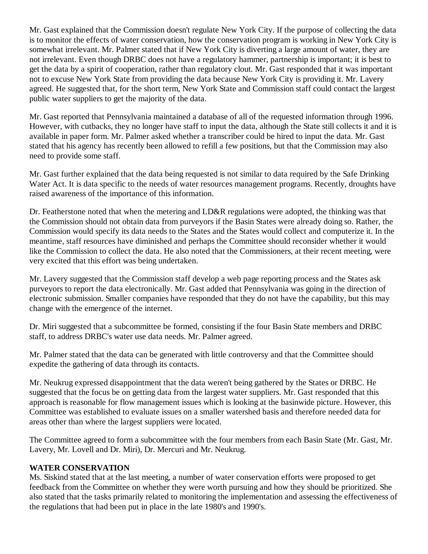Mr. Gast explained that the Commission doesn't regulate New York City. If the purpose of collecting the data is to monitor the effects of water conservation, how the conservation program is working in New York City is somewhat irrelevant. Mr. Palmer stated that if New York City is diverting a large amount of water, they are not irrelevant. Even though DRBC does not have a regulatory hammer, partnership is important; it is best to get the data by a spirit of cooperation, rather than regulatory clout. Mr. Gast responded that it was important not to excuse New York State from providing the data because New York City is providing it. Mr. Lavery agreed. He suggested that, for the short term, New York State and Commission staff could contact the largest public water suppliers to get the majority of the data.

Mr. Gast reported that Pennsylvania maintained a database of all of the requested information through 1996. However, with cutbacks, they no longer have staff to input the data, although the State still collects it and it is available in paper form. Mr. Palmer asked whether a transcriber could be hired to input the data. Mr. Gast stated that his agency has recently been allowed to refill a few positions, but that the Commission may also need to provide some staff.

Mr. Gast further explained that the data being requested is not similar to data required by the Safe Drinking Water Act. It is data specific to the needs of water resources management programs. Recently, droughts have raised awareness of the importance of this information.

Dr. Featherstone noted that when the metering and LD&R regulations were adopted, the thinking was that the Commission should not obtain data from purveyors if the Basin States were already doing so. Rather, the Commission would specify its data needs to the States and the States would collect and computerize it. In the meantime, staff resources have diminished and perhaps the Committee should reconsider whether it would like the Commission to collect the data. He also noted that the Commissioners, at their recent meeting, were very excited that this effort was being undertaken.

Mr. Lavery suggested that the Commission staff develop a web page reporting process and the States ask purveyors to report the data electronically. Mr. Gast added that Pennsylvania was going in the direction of electronic submission. Smaller companies have responded that they do not have the capability, but this may change with the emergence of the internet.

Dr. Miri suggested that a subcommittee be formed, consisting if the four Basin State members and DRBC staff, to address DRBC's water use data needs. Mr. Palmer agreed.

Mr. Palmer stated that the data can be generated with little controversy and that the Committee should expedite the gathering of data through its contacts.

Mr. Neukrug expressed disappointment that the data weren't being gathered by the States or DRBC. He suggested that the focus be on getting data from the largest water suppliers. Mr. Gast responded that this approach is reasonable for flow management issues which is looking at the basinwide picture. However, this Committee was established to evaluate issues on a smaller watershed basis and therefore needed data for areas other than where the largest suppliers were located.

The Committee agreed to form a subcommittee with the four members from each Basin State (Mr. Gast, Mr. Lavery, Mr. Lovell and Dr. Miri), Dr. Mercuri and Mr. Neukrug.

### **WATER CONSERVATION**

Ms. Siskind stated that at the last meeting, a number of water conservation efforts were proposed to get feedback from the Committee on whether they were worth pursuing and how they should be prioritized. She also stated that the tasks primarily related to monitoring the implementation and assessing the effectiveness of the regulations that had been put in place in the late 1980's and 1990's.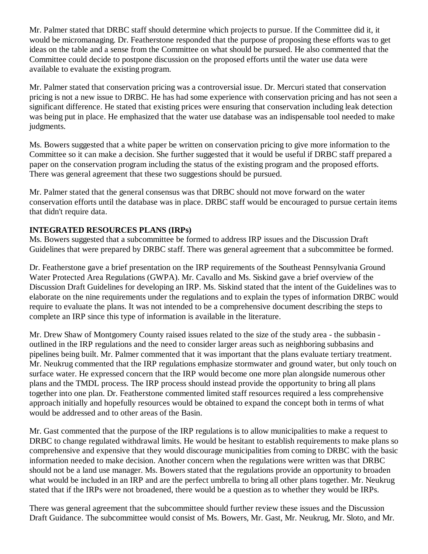Mr. Palmer stated that DRBC staff should determine which projects to pursue. If the Committee did it, it would be micromanaging. Dr. Featherstone responded that the purpose of proposing these efforts was to get ideas on the table and a sense from the Committee on what should be pursued. He also commented that the Committee could decide to postpone discussion on the proposed efforts until the water use data were available to evaluate the existing program.

Mr. Palmer stated that conservation pricing was a controversial issue. Dr. Mercuri stated that conservation pricing is not a new issue to DRBC. He has had some experience with conservation pricing and has not seen a significant difference. He stated that existing prices were ensuring that conservation including leak detection was being put in place. He emphasized that the water use database was an indispensable tool needed to make judgments.

Ms. Bowers suggested that a white paper be written on conservation pricing to give more information to the Committee so it can make a decision. She further suggested that it would be useful if DRBC staff prepared a paper on the conservation program including the status of the existing program and the proposed efforts. There was general agreement that these two suggestions should be pursued.

Mr. Palmer stated that the general consensus was that DRBC should not move forward on the water conservation efforts until the database was in place. DRBC staff would be encouraged to pursue certain items that didn't require data.

# **INTEGRATED RESOURCES PLANS (IRPs)**

Ms. Bowers suggested that a subcommittee be formed to address IRP issues and the Discussion Draft Guidelines that were prepared by DRBC staff. There was general agreement that a subcommittee be formed.

Dr. Featherstone gave a brief presentation on the IRP requirements of the Southeast Pennsylvania Ground Water Protected Area Regulations (GWPA). Mr. Cavallo and Ms. Siskind gave a brief overview of the Discussion Draft Guidelines for developing an IRP. Ms. Siskind stated that the intent of the Guidelines was to elaborate on the nine requirements under the regulations and to explain the types of information DRBC would require to evaluate the plans. It was not intended to be a comprehensive document describing the steps to complete an IRP since this type of information is available in the literature.

Mr. Drew Shaw of Montgomery County raised issues related to the size of the study area - the subbasin outlined in the IRP regulations and the need to consider larger areas such as neighboring subbasins and pipelines being built. Mr. Palmer commented that it was important that the plans evaluate tertiary treatment. Mr. Neukrug commented that the IRP regulations emphasize stormwater and ground water, but only touch on surface water. He expressed concern that the IRP would become one more plan alongside numerous other plans and the TMDL process. The IRP process should instead provide the opportunity to bring all plans together into one plan. Dr. Featherstone commented limited staff resources required a less comprehensive approach initially and hopefully resources would be obtained to expand the concept both in terms of what would be addressed and to other areas of the Basin.

Mr. Gast commented that the purpose of the IRP regulations is to allow municipalities to make a request to DRBC to change regulated withdrawal limits. He would be hesitant to establish requirements to make plans so comprehensive and expensive that they would discourage municipalities from coming to DRBC with the basic information needed to make decision. Another concern when the regulations were written was that DRBC should not be a land use manager. Ms. Bowers stated that the regulations provide an opportunity to broaden what would be included in an IRP and are the perfect umbrella to bring all other plans together. Mr. Neukrug stated that if the IRPs were not broadened, there would be a question as to whether they would be IRPs.

There was general agreement that the subcommittee should further review these issues and the Discussion Draft Guidance. The subcommittee would consist of Ms. Bowers, Mr. Gast, Mr. Neukrug, Mr. Sloto, and Mr.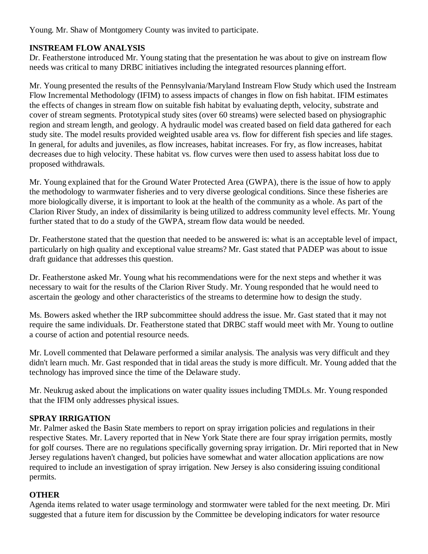Young. Mr. Shaw of Montgomery County was invited to participate.

# **INSTREAM FLOW ANALYSIS**

Dr. Featherstone introduced Mr. Young stating that the presentation he was about to give on instream flow needs was critical to many DRBC initiatives including the integrated resources planning effort.

Mr. Young presented the results of the Pennsylvania/Maryland Instream Flow Study which used the Instream Flow Incremental Methodology (IFIM) to assess impacts of changes in flow on fish habitat. IFIM estimates the effects of changes in stream flow on suitable fish habitat by evaluating depth, velocity, substrate and cover of stream segments. Prototypical study sites (over 60 streams) were selected based on physiographic region and stream length, and geology. A hydraulic model was created based on field data gathered for each study site. The model results provided weighted usable area vs. flow for different fish species and life stages. In general, for adults and juveniles, as flow increases, habitat increases. For fry, as flow increases, habitat decreases due to high velocity. These habitat vs. flow curves were then used to assess habitat loss due to proposed withdrawals.

Mr. Young explained that for the Ground Water Protected Area (GWPA), there is the issue of how to apply the methodology to warmwater fisheries and to very diverse geological conditions. Since these fisheries are more biologically diverse, it is important to look at the health of the community as a whole. As part of the Clarion River Study, an index of dissimilarity is being utilized to address community level effects. Mr. Young further stated that to do a study of the GWPA, stream flow data would be needed.

Dr. Featherstone stated that the question that needed to be answered is: what is an acceptable level of impact, particularly on high quality and exceptional value streams? Mr. Gast stated that PADEP was about to issue draft guidance that addresses this question.

Dr. Featherstone asked Mr. Young what his recommendations were for the next steps and whether it was necessary to wait for the results of the Clarion River Study. Mr. Young responded that he would need to ascertain the geology and other characteristics of the streams to determine how to design the study.

Ms. Bowers asked whether the IRP subcommittee should address the issue. Mr. Gast stated that it may not require the same individuals. Dr. Featherstone stated that DRBC staff would meet with Mr. Young to outline a course of action and potential resource needs.

Mr. Lovell commented that Delaware performed a similar analysis. The analysis was very difficult and they didn't learn much. Mr. Gast responded that in tidal areas the study is more difficult. Mr. Young added that the technology has improved since the time of the Delaware study.

Mr. Neukrug asked about the implications on water quality issues including TMDLs. Mr. Young responded that the IFIM only addresses physical issues.

# **SPRAY IRRIGATION**

Mr. Palmer asked the Basin State members to report on spray irrigation policies and regulations in their respective States. Mr. Lavery reported that in New York State there are four spray irrigation permits, mostly for golf courses. There are no regulations specifically governing spray irrigation. Dr. Miri reported that in New Jersey regulations haven't changed, but policies have somewhat and water allocation applications are now required to include an investigation of spray irrigation. New Jersey is also considering issuing conditional permits.

### **OTHER**

Agenda items related to water usage terminology and stormwater were tabled for the next meeting. Dr. Miri suggested that a future item for discussion by the Committee be developing indicators for water resource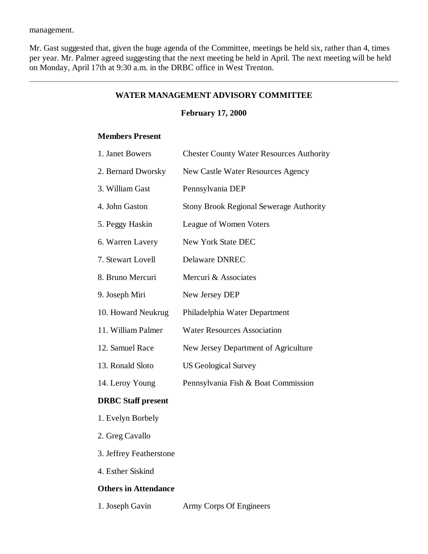management.

Mr. Gast suggested that, given the huge agenda of the Committee, meetings be held six, rather than 4, times per year. Mr. Palmer agreed suggesting that the next meeting be held in April. The next meeting will be held on Monday, April 17th at 9:30 a.m. in the DRBC office in West Trenton.

### **WATER MANAGEMENT ADVISORY COMMITTEE**

### **February 17, 2000**

# **Members Present**

| 1. Janet Bowers    | <b>Chester County Water Resources Authority</b> |
|--------------------|-------------------------------------------------|
| 2. Bernard Dworsky | New Castle Water Resources Agency               |
| 3. William Gast    | Pennsylvania DEP                                |
| 4. John Gaston     | <b>Stony Brook Regional Sewerage Authority</b>  |
| 5. Peggy Haskin    | League of Women Voters                          |
| 6. Warren Lavery   | New York State DEC                              |
| 7. Stewart Lovell  | <b>Delaware DNREC</b>                           |
| 8. Bruno Mercuri   | Mercuri & Associates                            |
| 9. Joseph Miri     | New Jersey DEP                                  |
| 10. Howard Neukrug | Philadelphia Water Department                   |
| 11. William Palmer | <b>Water Resources Association</b>              |
| 12. Samuel Race    | New Jersey Department of Agriculture            |
| 13. Ronald Sloto   | <b>US Geological Survey</b>                     |
| 14. Leroy Young    | Pennsylvania Fish & Boat Commission             |

### **DRBC Staff present**

- 1. Evelyn Borbely
- 2. Greg Cavallo
- 3. Jeffrey Featherstone
- 4. Esther Siskind

### **Others in Attendance**

1. Joseph Gavin Army Corps Of Engineers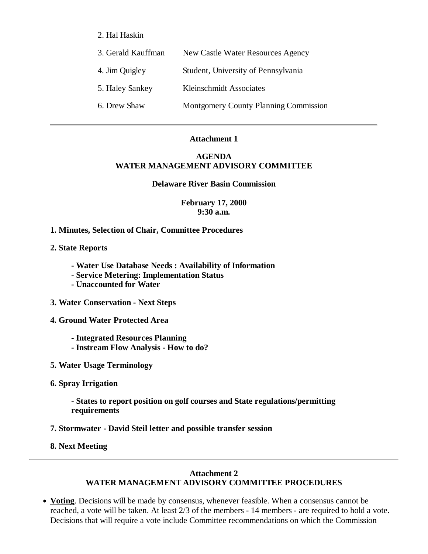2. Hal Haskin

| 3. Gerald Kauffman | New Castle Water Resources Agency            |
|--------------------|----------------------------------------------|
| 4. Jim Quigley     | Student, University of Pennsylvania          |
| 5. Haley Sankey    | Kleinschmidt Associates                      |
| 6. Drew Shaw       | <b>Montgomery County Planning Commission</b> |

#### **Attachment 1**

### **AGENDA WATER MANAGEMENT ADVISORY COMMITTEE**

#### **Delaware River Basin Commission**

**February 17, 2000 9:30 a.m.**

**1. Minutes, Selection of Chair, Committee Procedures**

**2. State Reports**

- **Water Use Database Needs : Availability of Information**
- **Service Metering: Implementation Status**
- **Unaccounted for Water**
- **3. Water Conservation Next Steps**
- **4. Ground Water Protected Area**
	- **Integrated Resources Planning - Instream Flow Analysis - How to do?**
- **5. Water Usage Terminology**
- **6. Spray Irrigation**

**- States to report position on golf courses and State regulations/permitting requirements**

- **7. Stormwater David Steil letter and possible transfer session**
- **8. Next Meeting**

### **Attachment 2 WATER MANAGEMENT ADVISORY COMMITTEE PROCEDURES**

**Voting**. Decisions will be made by consensus, whenever feasible. When a consensus cannot be reached, a vote will be taken. At least 2/3 of the members - 14 members - are required to hold a vote. Decisions that will require a vote include Committee recommendations on which the Commission